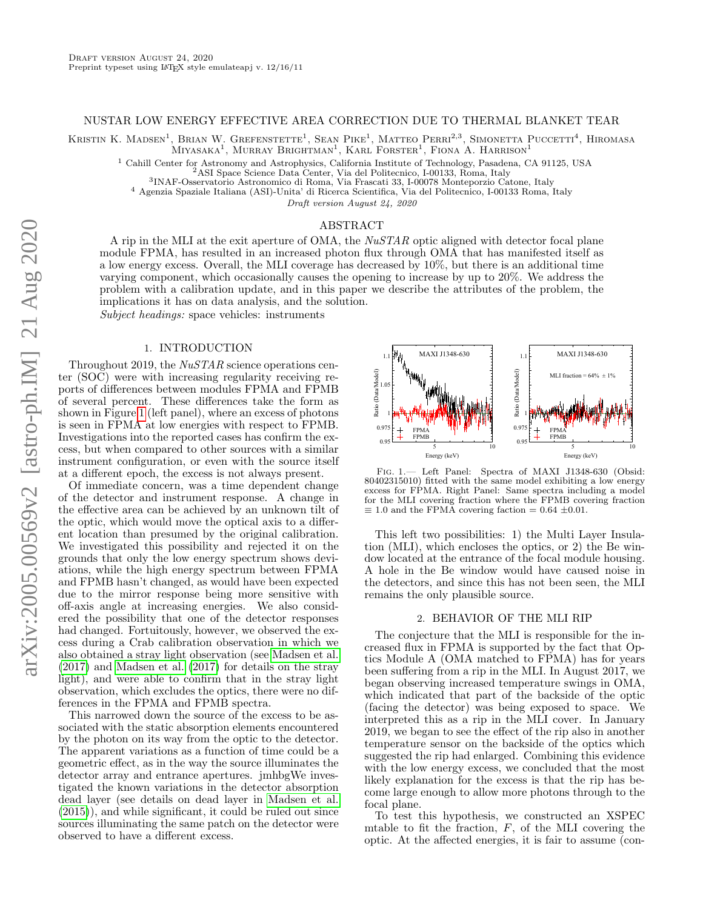### NUSTAR LOW ENERGY EFFECTIVE AREA CORRECTION DUE TO THERMAL BLANKET TEAR

Kristin K. Madsen<sup>1</sup>, Brian W. Grefenstette<sup>1</sup>, Sean Pike<sup>1</sup>, Matteo Perri<sup>2,3</sup>, Simonetta Puccetti<sup>4</sup>, Hiromasa  $(MIYASAKA<sup>1</sup>, MURRAY BRIGHTMAN<sup>1</sup>, KARI FORSTER<sup>1</sup>, FIONA A, HARRISON<sup>1</sup>$ 

<sup>1</sup> Cahill Center for Astronomy and Astrophysics, California Institute of Technology, Pasadena, CA 91125, USA

3 INAF-Osservatorio Astronomico di Roma, Via Frascati 33, I-00078 Monteporzio Catone, Italy

<sup>4</sup> Agenzia Spaziale Italiana (ASI)-Unita' di Ricerca Scientifica, Via del Politecnico, I-00133 Roma, Italy

Draft version August 24, 2020

# ABSTRACT

A rip in the MLI at the exit aperture of  $OMA$ , the  $NuSTAR$  optic aligned with detector focal plane module FPMA, has resulted in an increased photon flux through OMA that has manifested itself as a low energy excess. Overall, the MLI coverage has decreased by 10%, but there is an additional time varying component, which occasionally causes the opening to increase by up to 20%. We address the problem with a calibration update, and in this paper we describe the attributes of the problem, the implications it has on data analysis, and the solution.

Subject headings: space vehicles: instruments

### 1. INTRODUCTION

Throughout 2019, the NuSTAR science operations center (SOC) were with increasing regularity receiving reports of differences between modules FPMA and FPMB of several percent. These differences take the form as shown in Figure [1](#page-0-0) (left panel), where an excess of photons is seen in FPMA at low energies with respect to FPMB. Investigations into the reported cases has confirm the excess, but when compared to other sources with a similar instrument configuration, or even with the source itself at a different epoch, the excess is not always present.

Of immediate concern, was a time dependent change of the detector and instrument response. A change in the effective area can be achieved by an unknown tilt of the optic, which would move the optical axis to a different location than presumed by the original calibration. We investigated this possibility and rejected it on the grounds that only the low energy spectrum shows deviations, while the high energy spectrum between FPMA and FPMB hasn't changed, as would have been expected due to the mirror response being more sensitive with off-axis angle at increasing energies. We also considered the possibility that one of the detector responses had changed. Fortuitously, however, we observed the excess during a Crab calibration observation in which we also obtained a stray light observation (see [Madsen et al.](#page-3-0) [\(2017\)](#page-3-0) and [Madsen et al.](#page-3-1) [\(2017\)](#page-3-1) for details on the stray light), and were able to confirm that in the stray light observation, which excludes the optics, there were no differences in the FPMA and FPMB spectra. social ratio and the variance of the theorem and the proper summer in the correct summer in the correct summer is in the simulation in the correct summer is in the simulation of the actiomation of the secess is not always

This narrowed down the source of the excess to be associated with the static absorption elements encountered by the photon on its way from the optic to the detector. The apparent variations as a function of time could be a geometric effect, as in the way the source illuminates the detector array and entrance apertures. jmhbgWe investigated the known variations in the detector absorption dead layer (see details on dead layer in [Madsen et al.](#page-3-2) [\(2015\)](#page-3-2)), and while significant, it could be ruled out since sources illuminating the same patch on the detector were



<span id="page-0-0"></span>Fig. 1.— Left Panel: Spectra of MAXI J1348-630 (Obsid: 80402315010) fitted with the same model exhibiting a low energy excess for FPMA. Right Panel: Same spectra including a model for the MLI covering fraction where the FPMB covering fraction  $\equiv$  1.0 and the FPMA covering faction = 0.64  $\pm$ 0.01.

This left two possibilities: 1) the Multi Layer Insulation (MLI), which encloses the optics, or 2) the Be window located at the entrance of the focal module housing. A hole in the Be window would have caused noise in the detectors, and since this has not been seen, the MLI remains the only plausible source.

## 2. BEHAVIOR OF THE MLI RIP

The conjecture that the MLI is responsible for the increased flux in FPMA is supported by the fact that Optics Module A (OMA matched to FPMA) has for years been suffering from a rip in the MLI. In August 2017, we began observing increased temperature swings in OMA, which indicated that part of the backside of the optic (facing the detector) was being exposed to space. We interpreted this as a rip in the MLI cover. In January 2019, we began to see the effect of the rip also in another temperature sensor on the backside of the optics which suggested the rip had enlarged. Combining this evidence with the low energy excess, we concluded that the most likely explanation for the excess is that the rip has become large enough to allow more photons through to the focal plane.

To test this hypothesis, we constructed an XSPEC mtable to fit the fraction,  $F$ , of the MLI covering the optic. At the affected energies, it is fair to assume (con-

<sup>2</sup>ASI Space Science Data Center, Via del Politecnico, I-00133, Roma, Italy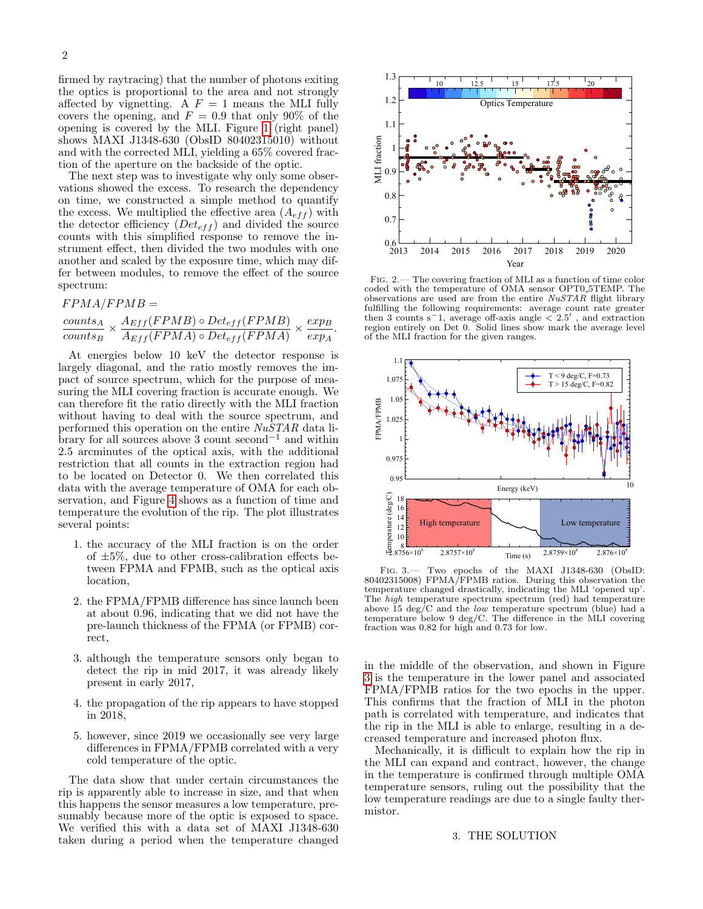firmed by raytracing) that the number of photons exiting the optics is proportional to the area and not strongly affected by vignetting. A  $F = 1$  means the MLI fully covers the opening, and  $F = 0.9$  that only 90% of the opening is covered by the MLI. Figure [1](#page-0-0) (right panel) shows MAXI J1348-630 (ObsID 80402315010) without and with the corrected MLI, yielding a 65% covered fraction of the aperture on the backside of the optic.

The next step was to investigate why only some observations showed the excess. To research the dependency on time, we constructed a simple method to quantify the excess. We multiplied the effective area  $(A_{eff})$  with the detector efficiency  $(Det_{eff})$  and divided the source counts with this simplified response to remove the instrument effect, then divided the two modules with one another and scaled by the exposure time, which may differ between modules, to remove the effect of the source spectrum:

 $F P M A / F P M B =$ 

$$
\frac{counts_A}{counts_B} \times \frac{A_{Eff}(FPMB) \circ Det_{eff}(FPMB)}{A_{Eff}(FPMA) \circ Det_{eff}(FPMA)} \times \frac{exp_B}{exp_A}.
$$

At energies below 10 keV the detector response is largely diagonal, and the ratio mostly removes the impact of source spectrum, which for the purpose of measuring the MLI covering fraction is accurate enough. We can therefore fit the ratio directly with the MLI fraction without having to deal with the source spectrum, and performed this operation on the entire NuSTAR data library for all sources above 3 count second<sup>-1</sup> and within 2.5 arcminutes of the optical axis, with the additional restriction that all counts in the extraction region had to be located on Detector 0. We then correlated this data with the average temperature of OMA for each observation, and Figure [4](#page-2-0) shows as a function of time and temperature the evolution of the rip. The plot illustrates several points:

- 1. the accuracy of the MLI fraction is on the order of  $\pm 5\%$ , due to other cross-calibration effects between FPMA and FPMB, such as the optical axis location,
- 2. the FPMA/FPMB difference has since launch been at about 0.96, indicating that we did not have the pre-launch thickness of the FPMA (or FPMB) correct,
- 3. although the temperature sensors only began to detect the rip in mid 2017, it was already likely present in early 2017,
- 4. the propagation of the rip appears to have stopped in 2018,
- 5. however, since 2019 we occasionally see very large differences in FPMA/FPMB correlated with a very cold temperature of the optic.

The data show that under certain circumstances the rip is apparently able to increase in size, and that when this happens the sensor measures a low temperature, presumably because more of the optic is exposed to space. We verified this with a data set of MAXI J1348-630 taken during a period when the temperature changed



<span id="page-1-1"></span>Fig. 2.— The covering fraction of MLI as a function of time color coded with the temperature of OMA sensor OPT0 5TEMP. The observations are used are from the entire NuSTAR flight library fulfilling the following requirements: average count rate greater then 3 counts s<sup>-1</sup>, average off-axis angle  $\langle 2.5'$ , and extraction region entirely on Det 0. Solid lines show mark the average level of the MLI fraction for the given ranges.



<span id="page-1-0"></span>Fig. 3.— Two epochs of the MAXI J1348-630 (ObsID: 80402315008) FPMA/FPMB ratios. During this observation the temperature changed drastically, indicating the MLI 'opened up'. The *high* temperature spectrum spectrum (red) had temperature above 15  $\deg/C$  and the *low* temperature spectrum (blue) had a temperature below 9 deg/C. The difference in the MLI covering fraction was 0.82 for high and 0.73 for low.

in the middle of the observation, and shown in Figure [3](#page-1-0) is the temperature in the lower panel and associated FPMA/FPMB ratios for the two epochs in the upper. This confirms that the fraction of MLI in the photon path is correlated with temperature, and indicates that the rip in the MLI is able to enlarge, resulting in a decreased temperature and increased photon flux.

Mechanically, it is difficult to explain how the rip in the MLI can expand and contract, however, the change in the temperature is confirmed through multiple OMA temperature sensors, ruling out the possibility that the low temperature readings are due to a single faulty thermistor.

#### 3. THE SOLUTION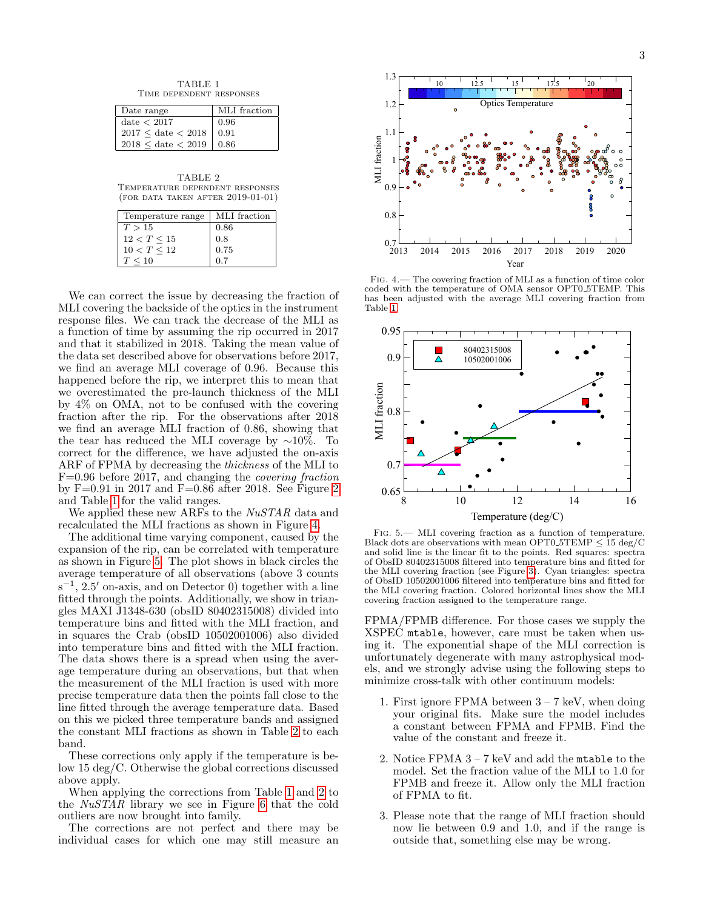TABLE 1 Time dependent responses

<span id="page-2-1"></span>

| Date range                       | MLI fraction |
|----------------------------------|--------------|
| $date<$ 2017                     | 0.96         |
| $2017 \leq date < 2018$          | 0.91         |
| $2018 \leq$ date $< 2019$   0.86 |              |

<span id="page-2-3"></span>TABLE 2 Temperature dependent responses (for data taken after 2019-01-01)

| Temperature range | MLI fraction |
|-------------------|--------------|
| T > 15            | 0.86         |
| 12 < T < 15       | 0.8          |
| 10 < T < 12       | 0.75         |
| $T \leq 10$       | 0.7          |

We can correct the issue by decreasing the fraction of MLI covering the backside of the optics in the instrument response files. We can track the decrease of the MLI as a function of time by assuming the rip occurred in 2017 and that it stabilized in 2018. Taking the mean value of the data set described above for observations before 2017, we find an average MLI coverage of 0.96. Because this happened before the rip, we interpret this to mean that we overestimated the pre-launch thickness of the MLI by 4% on OMA, not to be confused with the covering fraction after the rip. For the observations after 2018 we find an average MLI fraction of 0.86, showing that the tear has reduced the MLI coverage by ∼10%. To correct for the difference, we have adjusted the on-axis ARF of FPMA by decreasing the thickness of the MLI to F=0.96 before 2017, and changing the covering fraction by F=0.91 in 2017 and F=0.86 after 2018. See Figure [2](#page-1-1) and Table [1](#page-2-1) for the valid ranges.

We applied these new ARFs to the NuSTAR data and recalculated the MLI fractions as shown in Figure [4.](#page-2-0)

The additional time varying component, caused by the expansion of the rip, can be correlated with temperature as shown in Figure [5.](#page-2-2) The plot shows in black circles the average temperature of all observations (above 3 counts  $s^{-1}$ , 2.5' on-axis, and on Detector 0) together with a line fitted through the points. Additionally, we show in triangles MAXI J1348-630 (obsID 80402315008) divided into temperature bins and fitted with the MLI fraction, and in squares the Crab (obsID 10502001006) also divided into temperature bins and fitted with the MLI fraction. The data shows there is a spread when using the average temperature during an observations, but that when the measurement of the MLI fraction is used with more precise temperature data then the points fall close to the line fitted through the average temperature data. Based on this we picked three temperature bands and assigned the constant MLI fractions as shown in Table [2](#page-2-3) to each band.

These corrections only apply if the temperature is below 15 deg/C. Otherwise the global corrections discussed above apply.

When applying the corrections from Table [1](#page-2-1) and [2](#page-2-3) to the NuSTAR library we see in Figure [6](#page-3-3) that the cold outliers are now brought into family.

The corrections are not perfect and there may be individual cases for which one may still measure an



<span id="page-2-0"></span>Fig. 4.— The covering fraction of MLI as a function of time color coded with the temperature of OMA sensor OPT0 5TEMP. This has been adjusted with the average MLI covering fraction from Table [1.](#page-2-1)



<span id="page-2-2"></span>Fig. 5.— MLI covering fraction as a function of temperature. Black dots are observations with mean OPT0\_5TEMP  $\leq 15 \text{ deg/C}$ and solid line is the linear fit to the points. Red squares: spectra of ObsID 80402315008 filtered into temperature bins and fitted for the MLI covering fraction (see Figure [3\)](#page-1-0). Cyan triangles: spectra of ObsID 10502001006 filtered into temperature bins and fitted for the MLI covering fraction. Colored horizontal lines show the MLI covering fraction assigned to the temperature range.

FPMA/FPMB difference. For those cases we supply the XSPEC mtable, however, care must be taken when using it. The exponential shape of the MLI correction is unfortunately degenerate with many astrophysical models, and we strongly advise using the following steps to minimize cross-talk with other continuum models:

- 1. First ignore FPMA between 3 7 keV, when doing your original fits. Make sure the model includes a constant between FPMA and FPMB. Find the value of the constant and freeze it.
- 2. Notice FPMA 3 7 keV and add the mtable to the model. Set the fraction value of the MLI to 1.0 for FPMB and freeze it. Allow only the MLI fraction of FPMA to fit.
- 3. Please note that the range of MLI fraction should now lie between 0.9 and 1.0, and if the range is outside that, something else may be wrong.